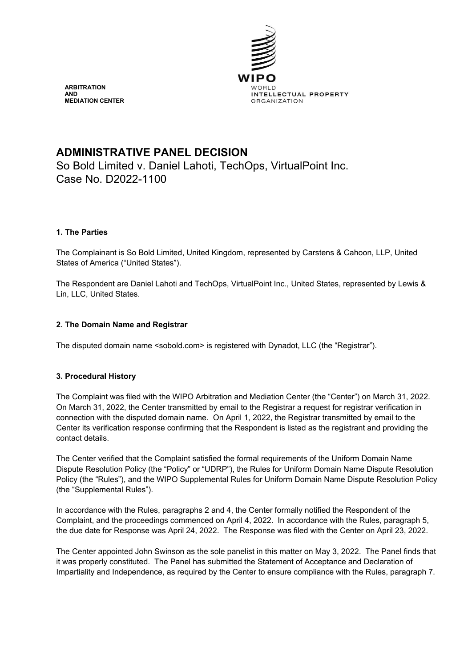

# **ADMINISTRATIVE PANEL DECISION**

So Bold Limited v. Daniel Lahoti, TechOps, VirtualPoint Inc. Case No. D2022-1100

# **1. The Parties**

The Complainant is So Bold Limited, United Kingdom, represented by Carstens & Cahoon, LLP, United States of America ("United States").

The Respondent are Daniel Lahoti and TechOps, VirtualPoint Inc., United States, represented by Lewis & Lin, LLC, United States.

# **2. The Domain Name and Registrar**

The disputed domain name <sobold.com> is registered with Dynadot, LLC (the "Registrar").

# **3. Procedural History**

The Complaint was filed with the WIPO Arbitration and Mediation Center (the "Center") on March 31, 2022. On March 31, 2022, the Center transmitted by email to the Registrar a request for registrar verification in connection with the disputed domain name. On April 1, 2022, the Registrar transmitted by email to the Center its verification response confirming that the Respondent is listed as the registrant and providing the contact details.

The Center verified that the Complaint satisfied the formal requirements of the Uniform Domain Name Dispute Resolution Policy (the "Policy" or "UDRP"), the Rules for Uniform Domain Name Dispute Resolution Policy (the "Rules"), and the WIPO Supplemental Rules for Uniform Domain Name Dispute Resolution Policy (the "Supplemental Rules").

In accordance with the Rules, paragraphs 2 and 4, the Center formally notified the Respondent of the Complaint, and the proceedings commenced on April 4, 2022. In accordance with the Rules, paragraph 5, the due date for Response was April 24, 2022. The Response was filed with the Center on April 23, 2022.

The Center appointed John Swinson as the sole panelist in this matter on May 3, 2022. The Panel finds that it was properly constituted. The Panel has submitted the Statement of Acceptance and Declaration of Impartiality and Independence, as required by the Center to ensure compliance with the Rules, paragraph 7.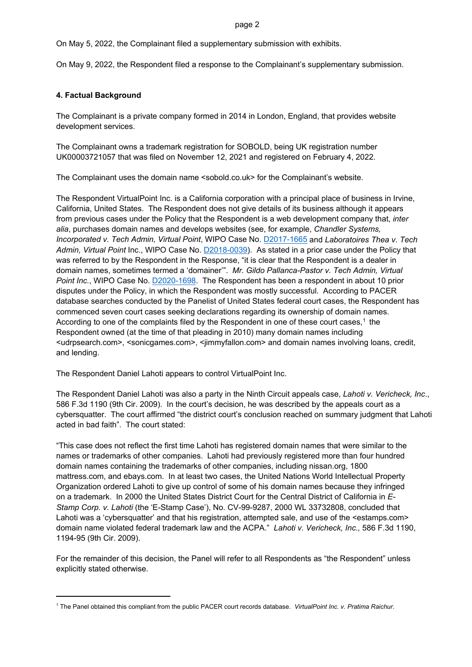On May 5, 2022, the Complainant filed a supplementary submission with exhibits.

On May 9, 2022, the Respondent filed a response to the Complainant's supplementary submission.

### **4. Factual Background**

 $\overline{\phantom{a}}$ 

The Complainant is a private company formed in 2014 in London, England, that provides website development services.

The Complainant owns a trademark registration for SOBOLD, being UK registration number UK00003721057 that was filed on November 12, 2021 and registered on February 4, 2022.

The Complainant uses the domain name <sobold.co.uk> for the Complainant's website.

The Respondent VirtualPoint Inc. is a California corporation with a principal place of business in Irvine, California, United States. The Respondent does not give details of its business although it appears from previous cases under the Policy that the Respondent is a web development company that, *inter alia*, purchases domain names and develops websites (see, for example, *Chandler Systems, Incorporated v. Tech Admin, Virtual Point*, WIPO Case No. [D2017-1665](https://www.wipo.int/amc/en/domains/search/text.jsp?case=D2017-1665) and *Laboratoires Thea v. Tech Admin, Virtual Point* Inc., WIPO Case No. [D2018-0039\)](https://www.wipo.int/amc/en/domains/search/text.jsp?case=D2018-0039). As stated in a prior case under the Policy that was referred to by the Respondent in the Response, "it is clear that the Respondent is a dealer in domain names, sometimes termed a 'domainer'". *Mr. Gildo Pallanca-Pastor v. Tech Admin, Virtual Point Inc.*, WIPO Case No. [D2020-1698.](https://www.wipo.int/amc/en/domains/search/text.jsp?case=D2020-1698) The Respondent has been a respondent in about 10 prior disputes under the Policy, in which the Respondent was mostly successful. According to PACER database searches conducted by the Panelist of United States federal court cases, the Respondent has commenced seven court cases seeking declarations regarding its ownership of domain names. According to one of the complaints filed by the Respondent in one of these court cases,<sup>[1](#page-1-0)</sup> the Respondent owned (at the time of that pleading in 2010) many domain names including <udrpsearch.com>, <sonicgames.com>, <jimmyfallon.com> and domain names involving loans, credit, and lending.

The Respondent Daniel Lahoti appears to control VirtualPoint Inc.

The Respondent Daniel Lahoti was also a party in the Ninth Circuit appeals case, *Lahoti v. Vericheck, Inc*., 586 F.3d 1190 (9th Cir. 2009). In the court's decision, he was described by the appeals court as a cybersquatter. The court affirmed "the district court's conclusion reached on summary judgment that Lahoti acted in bad faith". The court stated:

"This case does not reflect the first time Lahoti has registered domain names that were similar to the names or trademarks of other companies. Lahoti had previously registered more than four hundred domain names containing the trademarks of other companies, including nissan.org, 1800 mattress.com, and ebays.com. In at least two cases, the United Nations World Intellectual Property Organization ordered Lahoti to give up control of some of his domain names because they infringed on a trademark. In 2000 the United States District Court for the Central District of California in *E-Stamp Corp. v. Lahoti* (the 'E-Stamp Case'), No. CV-99-9287, 2000 WL 33732808, concluded that Lahoti was a 'cybersquatter' and that his registration, attempted sale, and use of the <estamps.com> domain name violated federal trademark law and the ACPA." *Lahoti v. Vericheck, Inc.,* 586 F.3d 1190, 1194-95 (9th Cir. 2009).

For the remainder of this decision, the Panel will refer to all Respondents as "the Respondent" unless explicitly stated otherwise.

<span id="page-1-0"></span><sup>1</sup> The Panel obtained this compliant from the public PACER court records database. *VirtualPoint Inc. v. Pratima Raichur*.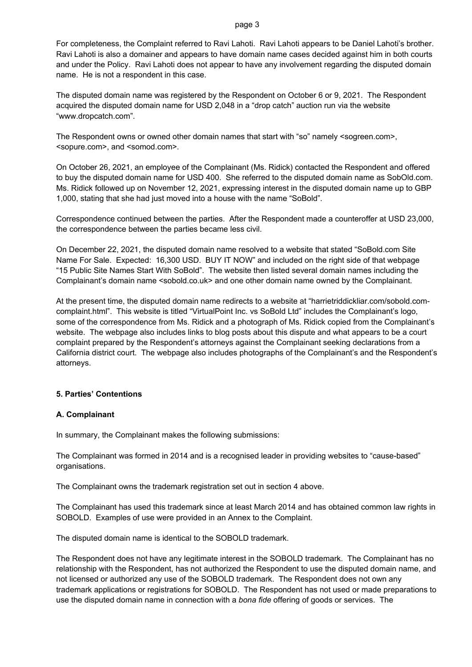For completeness, the Complaint referred to Ravi Lahoti. Ravi Lahoti appears to be Daniel Lahoti's brother. Ravi Lahoti is also a domainer and appears to have domain name cases decided against him in both courts and under the Policy. Ravi Lahoti does not appear to have any involvement regarding the disputed domain name. He is not a respondent in this case.

The disputed domain name was registered by the Respondent on October 6 or 9, 2021. The Respondent acquired the disputed domain name for USD 2,048 in a "drop catch" auction run via the website "www.dropcatch.com".

The Respondent owns or owned other domain names that start with "so" namely <sogreen.com>, <sopure.com>, and <somod.com>.

On October 26, 2021, an employee of the Complainant (Ms. Ridick) contacted the Respondent and offered to buy the disputed domain name for USD 400. She referred to the disputed domain name as SobOld.com. Ms. Ridick followed up on November 12, 2021, expressing interest in the disputed domain name up to GBP 1,000, stating that she had just moved into a house with the name "SoBold".

Correspondence continued between the parties. After the Respondent made a counteroffer at USD 23,000, the correspondence between the parties became less civil.

On December 22, 2021, the disputed domain name resolved to a website that stated "SoBold.com Site Name For Sale. Expected: 16,300 USD. BUY IT NOW" and included on the right side of that webpage "15 Public Site Names Start With SoBold". The website then listed several domain names including the Complainant's domain name <sobold.co.uk> and one other domain name owned by the Complainant.

At the present time, the disputed domain name redirects to a website at "harrietriddickliar.com/sobold.comcomplaint.html". This website is titled "VirtualPoint Inc. vs SoBold Ltd" includes the Complainant's logo, some of the correspondence from Ms. Ridick and a photograph of Ms. Ridick copied from the Complainant's website. The webpage also includes links to blog posts about this dispute and what appears to be a court complaint prepared by the Respondent's attorneys against the Complainant seeking declarations from a California district court. The webpage also includes photographs of the Complainant's and the Respondent's attorneys.

# **5. Parties' Contentions**

### **A. Complainant**

In summary, the Complainant makes the following submissions:

The Complainant was formed in 2014 and is a recognised leader in providing websites to "cause-based" organisations.

The Complainant owns the trademark registration set out in section 4 above.

The Complainant has used this trademark since at least March 2014 and has obtained common law rights in SOBOLD. Examples of use were provided in an Annex to the Complaint.

The disputed domain name is identical to the SOBOLD trademark.

The Respondent does not have any legitimate interest in the SOBOLD trademark. The Complainant has no relationship with the Respondent, has not authorized the Respondent to use the disputed domain name, and not licensed or authorized any use of the SOBOLD trademark. The Respondent does not own any trademark applications or registrations for SOBOLD. The Respondent has not used or made preparations to use the disputed domain name in connection with a *bona fide* offering of goods or services. The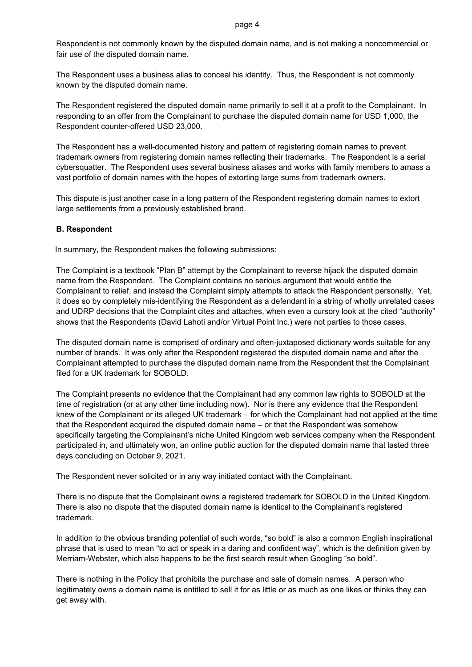Respondent is not commonly known by the disputed domain name, and is not making a noncommercial or fair use of the disputed domain name.

The Respondent uses a business alias to conceal his identity. Thus, the Respondent is not commonly known by the disputed domain name.

The Respondent registered the disputed domain name primarily to sell it at a profit to the Complainant. In responding to an offer from the Complainant to purchase the disputed domain name for USD 1,000, the Respondent counter-offered USD 23,000.

The Respondent has a well-documented history and pattern of registering domain names to prevent trademark owners from registering domain names reflecting their trademarks. The Respondent is a serial cybersquatter. The Respondent uses several business aliases and works with family members to amass a vast portfolio of domain names with the hopes of extorting large sums from trademark owners.

This dispute is just another case in a long pattern of the Respondent registering domain names to extort large settlements from a previously established brand.

### **B. Respondent**

In summary, the Respondent makes the following submissions:

The Complaint is a textbook "Plan B" attempt by the Complainant to reverse hijack the disputed domain name from the Respondent. The Complaint contains no serious argument that would entitle the Complainant to relief, and instead the Complaint simply attempts to attack the Respondent personally. Yet, it does so by completely mis-identifying the Respondent as a defendant in a string of wholly unrelated cases and UDRP decisions that the Complaint cites and attaches, when even a cursory look at the cited "authority" shows that the Respondents (David Lahoti and/or Virtual Point Inc.) were not parties to those cases.

The disputed domain name is comprised of ordinary and often-juxtaposed dictionary words suitable for any number of brands. It was only after the Respondent registered the disputed domain name and after the Complainant attempted to purchase the disputed domain name from the Respondent that the Complainant filed for a UK trademark for SOBOLD.

The Complaint presents no evidence that the Complainant had any common law rights to SOBOLD at the time of registration (or at any other time including now). Nor is there any evidence that the Respondent knew of the Complainant or its alleged UK trademark – for which the Complainant had not applied at the time that the Respondent acquired the disputed domain name – or that the Respondent was somehow specifically targeting the Complainant's niche United Kingdom web services company when the Respondent participated in, and ultimately won, an online public auction for the disputed domain name that lasted three days concluding on October 9, 2021.

The Respondent never solicited or in any way initiated contact with the Complainant.

There is no dispute that the Complainant owns a registered trademark for SOBOLD in the United Kingdom. There is also no dispute that the disputed domain name is identical to the Complainant's registered trademark.

In addition to the obvious branding potential of such words, "so bold" is also a common English inspirational phrase that is used to mean "to act or speak in a daring and confident way", which is the definition given by Merriam-Webster, which also happens to be the first search result when Googling "so bold".

There is nothing in the Policy that prohibits the purchase and sale of domain names. A person who legitimately owns a domain name is entitled to sell it for as little or as much as one likes or thinks they can get away with.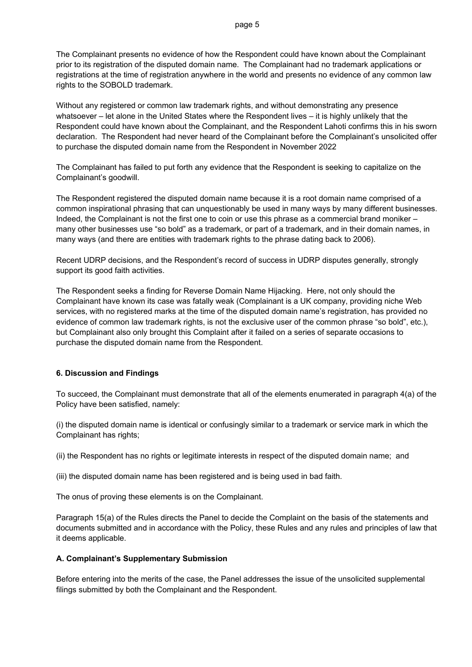The Complainant presents no evidence of how the Respondent could have known about the Complainant prior to its registration of the disputed domain name. The Complainant had no trademark applications or registrations at the time of registration anywhere in the world and presents no evidence of any common law rights to the SOBOLD trademark.

Without any registered or common law trademark rights, and without demonstrating any presence whatsoever – let alone in the United States where the Respondent lives – it is highly unlikely that the Respondent could have known about the Complainant, and the Respondent Lahoti confirms this in his sworn declaration. The Respondent had never heard of the Complainant before the Complainant's unsolicited offer to purchase the disputed domain name from the Respondent in November 2022

The Complainant has failed to put forth any evidence that the Respondent is seeking to capitalize on the Complainant's goodwill.

The Respondent registered the disputed domain name because it is a root domain name comprised of a common inspirational phrasing that can unquestionably be used in many ways by many different businesses. Indeed, the Complainant is not the first one to coin or use this phrase as a commercial brand moniker – many other businesses use "so bold" as a trademark, or part of a trademark, and in their domain names, in many ways (and there are entities with trademark rights to the phrase dating back to 2006).

Recent UDRP decisions, and the Respondent's record of success in UDRP disputes generally, strongly support its good faith activities.

The Respondent seeks a finding for Reverse Domain Name Hijacking. Here, not only should the Complainant have known its case was fatally weak (Complainant is a UK company, providing niche Web services, with no registered marks at the time of the disputed domain name's registration, has provided no evidence of common law trademark rights, is not the exclusive user of the common phrase "so bold", etc.), but Complainant also only brought this Complaint after it failed on a series of separate occasions to purchase the disputed domain name from the Respondent.

# **6. Discussion and Findings**

To succeed, the Complainant must demonstrate that all of the elements enumerated in paragraph 4(a) of the Policy have been satisfied, namely:

(i) the disputed domain name is identical or confusingly similar to a trademark or service mark in which the Complainant has rights;

(ii) the Respondent has no rights or legitimate interests in respect of the disputed domain name; and

(iii) the disputed domain name has been registered and is being used in bad faith.

The onus of proving these elements is on the Complainant.

Paragraph 15(a) of the Rules directs the Panel to decide the Complaint on the basis of the statements and documents submitted and in accordance with the Policy, these Rules and any rules and principles of law that it deems applicable.

# **A. Complainant's Supplementary Submission**

Before entering into the merits of the case, the Panel addresses the issue of the unsolicited supplemental filings submitted by both the Complainant and the Respondent.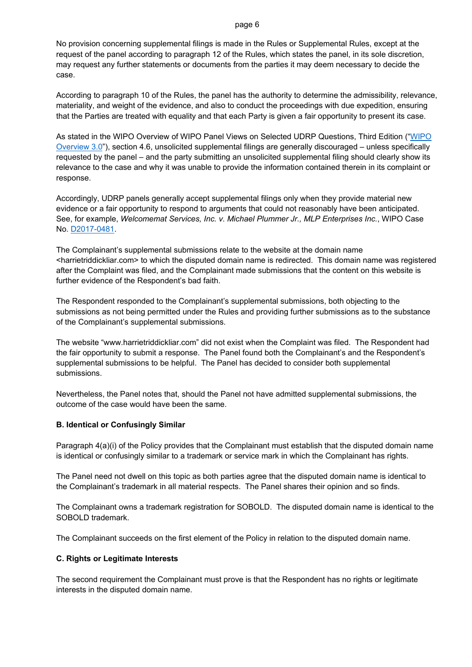No provision concerning supplemental filings is made in the Rules or Supplemental Rules, except at the request of the panel according to paragraph 12 of the Rules, which states the panel, in its sole discretion, may request any further statements or documents from the parties it may deem necessary to decide the case.

According to paragraph 10 of the Rules, the panel has the authority to determine the admissibility, relevance, materiality, and weight of the evidence, and also to conduct the proceedings with due expedition, ensuring that the Parties are treated with equality and that each Party is given a fair opportunity to present its case.

As stated in the WIPO Overview of WIPO Panel Views on Selected UDRP Questions, Third Edition (["WIPO](https://www.wipo.int/amc/en/domains/search/overview3.0/)  [Overview 3.0"](https://www.wipo.int/amc/en/domains/search/overview3.0/)), section 4.6, unsolicited supplemental filings are generally discouraged – unless specifically requested by the panel – and the party submitting an unsolicited supplemental filing should clearly show its relevance to the case and why it was unable to provide the information contained therein in its complaint or response.

Accordingly, UDRP panels generally accept supplemental filings only when they provide material new evidence or a fair opportunity to respond to arguments that could not reasonably have been anticipated. See, for example, *Welcomemat Services, Inc. v. Michael Plummer Jr., MLP Enterprises Inc.*, WIPO Case No. [D2017-0481.](https://www.wipo.int/amc/en/domains/search/text.jsp?case=D2017-0481)

The Complainant's supplemental submissions relate to the website at the domain name <harrietriddickliar.com> to which the disputed domain name is redirected. This domain name was registered after the Complaint was filed, and the Complainant made submissions that the content on this website is further evidence of the Respondent's bad faith.

The Respondent responded to the Complainant's supplemental submissions, both objecting to the submissions as not being permitted under the Rules and providing further submissions as to the substance of the Complainant's supplemental submissions.

The website "www.harrietriddickliar.com" did not exist when the Complaint was filed. The Respondent had the fair opportunity to submit a response. The Panel found both the Complainant's and the Respondent's supplemental submissions to be helpful. The Panel has decided to consider both supplemental submissions.

Nevertheless, the Panel notes that, should the Panel not have admitted supplemental submissions, the outcome of the case would have been the same.

### **B. Identical or Confusingly Similar**

Paragraph 4(a)(i) of the Policy provides that the Complainant must establish that the disputed domain name is identical or confusingly similar to a trademark or service mark in which the Complainant has rights.

The Panel need not dwell on this topic as both parties agree that the disputed domain name is identical to the Complainant's trademark in all material respects. The Panel shares their opinion and so finds.

The Complainant owns a trademark registration for SOBOLD. The disputed domain name is identical to the SOBOLD trademark.

The Complainant succeeds on the first element of the Policy in relation to the disputed domain name.

### **C. Rights or Legitimate Interests**

The second requirement the Complainant must prove is that the Respondent has no rights or legitimate interests in the disputed domain name.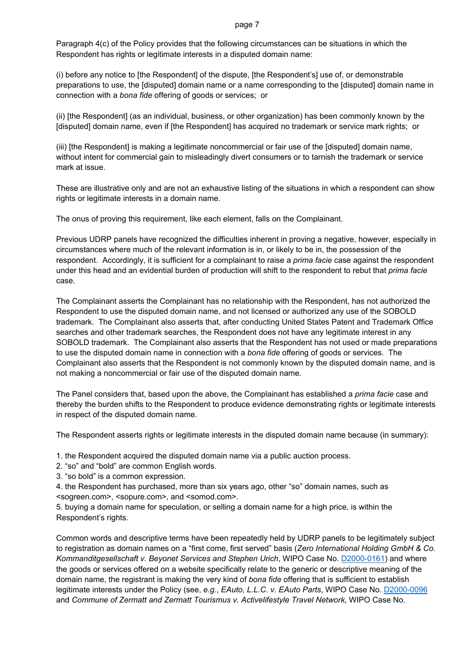Paragraph 4(c) of the Policy provides that the following circumstances can be situations in which the Respondent has rights or legitimate interests in a disputed domain name:

(i) before any notice to [the Respondent] of the dispute, [the Respondent's] use of, or demonstrable preparations to use, the [disputed] domain name or a name corresponding to the [disputed] domain name in connection with a *bona fide* offering of goods or services; or

(ii) [the Respondent] (as an individual, business, or other organization) has been commonly known by the [disputed] domain name, even if [the Respondent] has acquired no trademark or service mark rights; or

(iii) [the Respondent] is making a legitimate noncommercial or fair use of the [disputed] domain name, without intent for commercial gain to misleadingly divert consumers or to tarnish the trademark or service mark at issue.

These are illustrative only and are not an exhaustive listing of the situations in which a respondent can show rights or legitimate interests in a domain name.

The onus of proving this requirement, like each element, falls on the Complainant.

Previous UDRP panels have recognized the difficulties inherent in proving a negative, however, especially in circumstances where much of the relevant information is in, or likely to be in, the possession of the respondent. Accordingly, it is sufficient for a complainant to raise a *prima facie* case against the respondent under this head and an evidential burden of production will shift to the respondent to rebut that *prima facie*  case.

The Complainant asserts the Complainant has no relationship with the Respondent, has not authorized the Respondent to use the disputed domain name, and not licensed or authorized any use of the SOBOLD trademark. The Complainant also asserts that, after conducting United States Patent and Trademark Office searches and other trademark searches, the Respondent does not have any legitimate interest in any SOBOLD trademark. The Complainant also asserts that the Respondent has not used or made preparations to use the disputed domain name in connection with a *bona fide* offering of goods or services. The Complainant also asserts that the Respondent is not commonly known by the disputed domain name, and is not making a noncommercial or fair use of the disputed domain name.

The Panel considers that, based upon the above, the Complainant has established a *prima facie* case and thereby the burden shifts to the Respondent to produce evidence demonstrating rights or legitimate interests in respect of the disputed domain name.

The Respondent asserts rights or legitimate interests in the disputed domain name because (in summary):

1. the Respondent acquired the disputed domain name via a public auction process.

2. "so" and "bold" are common English words.

3. "so bold" is a common expression.

4. the Respondent has purchased, more than six years ago, other "so" domain names, such as <sogreen.com>, <sopure.com>, and <somod.com>.

5. buying a domain name for speculation, or selling a domain name for a high price, is within the Respondent's rights.

Common words and descriptive terms have been repeatedly held by UDRP panels to be legitimately subject to registration as domain names on a "first come, first served" basis (*Zero International Holding GmbH & Co. Kommanditgesellschaft v. Beyonet Services and Stephen Urich*, WIPO Case No. [D2000-0161\)](https://www.wipo.int/amc/en/domains/decisions/html/2000/d2000-0161.html) and where the goods or services offered on a website specifically relate to the generic or descriptive meaning of the domain name, the registrant is making the very kind of *bona fide* offering that is sufficient to establish legitimate interests under the Policy (see, *e.g.*, *EAuto, L.L.C. v. EAuto Parts*, WIPO Case No. [D2000-0096](https://www.wipo.int/amc/en/domains/decisions/html/2000/d2000-0096.html) and *Commune of Zermatt and Zermatt Tourismus v. Activelifestyle Travel Network*, WIPO Case No.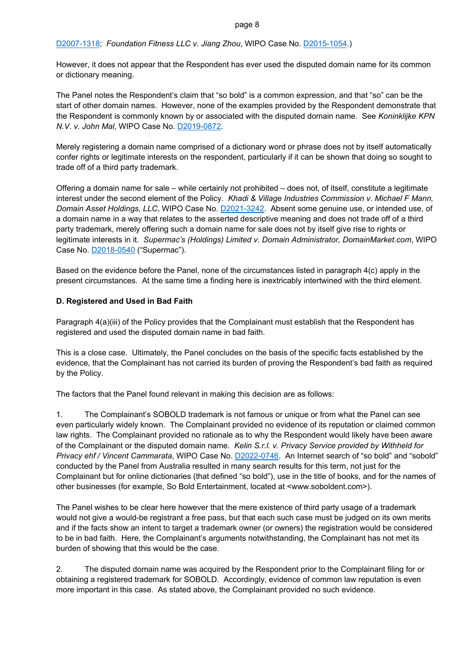# [D2007-1318;](https://www.wipo.int/amc/en/domains/decisions/html/2007/d2007-1318.html) *Foundation Fitness LLC v. Jiang Zhou*, WIPO Case No[. D2015-1054.](https://www.wipo.int/amc/en/domains/search/text.jsp?case=D2015-1054))

However, it does not appear that the Respondent has ever used the disputed domain name for its common or dictionary meaning.

The Panel notes the Respondent's claim that "so bold" is a common expression, and that "so" can be the start of other domain names. However, none of the examples provided by the Respondent demonstrate that the Respondent is commonly known by or associated with the disputed domain name. See *Koninklijke KPN N.V. v. John Mal*, WIPO Case No[. D2019-0872.](https://www.wipo.int/amc/en/domains/search/text.jsp?case=D2019-0872)

Merely registering a domain name comprised of a dictionary word or phrase does not by itself automatically confer rights or legitimate interests on the respondent, particularly if it can be shown that doing so sought to trade off of a third party trademark.

Offering a domain name for sale – while certainly not prohibited – does not, of itself, constitute a legitimate interest under the second element of the Policy. *Khadi & Village Industries Commission v. Michael F Mann, Domain Asset Holdings, LLC*, WIPO Case No. [D2021-3242.](https://www.wipo.int/amc/en/domains/search/text.jsp?case=D2021-3242) Absent some genuine use, or intended use, of a domain name in a way that relates to the asserted descriptive meaning and does not trade off of a third party trademark, merely offering such a domain name for sale does not by itself give rise to rights or legitimate interests in it. *Supermac's (Holdings) Limited v. Domain Administrator, DomainMarket.com*, WIPO Case No. [D2018-0540](https://www.wipo.int/amc/en/domains/search/text.jsp?case=D2018-0540) ("Supermac").

Based on the evidence before the Panel, none of the circumstances listed in paragraph 4(c) apply in the present circumstances. At the same time a finding here is inextricably intertwined with the third element.

# **D. Registered and Used in Bad Faith**

Paragraph 4(a)(iii) of the Policy provides that the Complainant must establish that the Respondent has registered and used the disputed domain name in bad faith.

This is a close case. Ultimately, the Panel concludes on the basis of the specific facts established by the evidence, that the Complainant has not carried its burden of proving the Respondent's bad faith as required by the Policy.

The factors that the Panel found relevant in making this decision are as follows:

1. The Complainant's SOBOLD trademark is not famous or unique or from what the Panel can see even particularly widely known. The Complainant provided no evidence of its reputation or claimed common law rights. The Complainant provided no rationale as to why the Respondent would likely have been aware of the Complainant or the disputed domain name. *Kelin S.r.l. v. Privacy Service provided by Withheld for Privacy ehf / Vincent Cammarata*, WIPO Case No. [D2022-0746.](https://www.wipo.int/amc/en/domains/search/text.jsp?case=D2022-0746) An Internet search of "so bold" and "sobold" conducted by the Panel from Australia resulted in many search results for this term, not just for the Complainant but for online dictionaries (that defined "so bold"), use in the title of books, and for the names of other businesses (for example, So Bold Entertainment, located at <www.soboldent.com>).

The Panel wishes to be clear here however that the mere existence of third party usage of a trademark would not give a would-be registrant a free pass, but that each such case must be judged on its own merits and if the facts show an intent to target a trademark owner (or owners) the registration would be considered to be in bad faith. Here, the Complainant's arguments notwithstanding, the Complainant has not met its burden of showing that this would be the case.

2. The disputed domain name was acquired by the Respondent prior to the Complainant filing for or obtaining a registered trademark for SOBOLD. Accordingly, evidence of common law reputation is even more important in this case. As stated above, the Complainant provided no such evidence.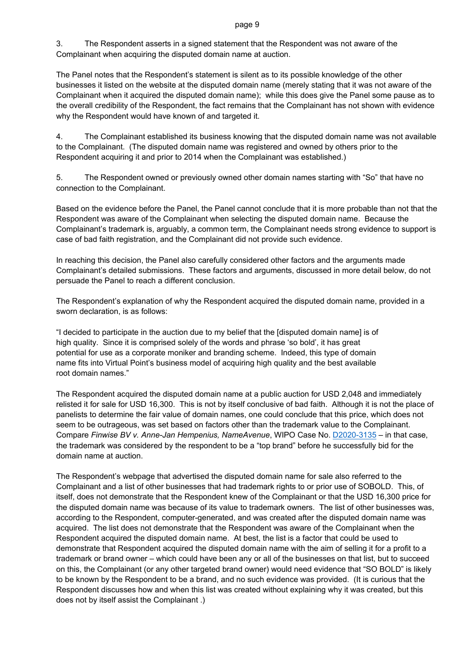3. The Respondent asserts in a signed statement that the Respondent was not aware of the Complainant when acquiring the disputed domain name at auction.

The Panel notes that the Respondent's statement is silent as to its possible knowledge of the other businesses it listed on the website at the disputed domain name (merely stating that it was not aware of the Complainant when it acquired the disputed domain name); while this does give the Panel some pause as to the overall credibility of the Respondent, the fact remains that the Complainant has not shown with evidence why the Respondent would have known of and targeted it.

4. The Complainant established its business knowing that the disputed domain name was not available to the Complainant. (The disputed domain name was registered and owned by others prior to the Respondent acquiring it and prior to 2014 when the Complainant was established.)

5. The Respondent owned or previously owned other domain names starting with "So" that have no connection to the Complainant.

Based on the evidence before the Panel, the Panel cannot conclude that it is more probable than not that the Respondent was aware of the Complainant when selecting the disputed domain name. Because the Complainant's trademark is, arguably, a common term, the Complainant needs strong evidence to support is case of bad faith registration, and the Complainant did not provide such evidence.

In reaching this decision, the Panel also carefully considered other factors and the arguments made Complainant's detailed submissions. These factors and arguments, discussed in more detail below, do not persuade the Panel to reach a different conclusion.

The Respondent's explanation of why the Respondent acquired the disputed domain name, provided in a sworn declaration, is as follows:

"I decided to participate in the auction due to my belief that the [disputed domain name] is of high quality. Since it is comprised solely of the words and phrase 'so bold', it has great potential for use as a corporate moniker and branding scheme. Indeed, this type of domain name fits into Virtual Point's business model of acquiring high quality and the best available root domain names."

The Respondent acquired the disputed domain name at a public auction for USD 2,048 and immediately relisted it for sale for USD 16,300. This is not by itself conclusive of bad faith. Although it is not the place of panelists to determine the fair value of domain names, one could conclude that this price, which does not seem to be outrageous, was set based on factors other than the trademark value to the Complainant. Compare *Finwise BV v. Anne-Jan Hempenius, NameAvenue*, WIPO Case No. [D2020-3135](https://www.wipo.int/amc/en/domains/search/text.jsp?case=D2020-3135) – in that case, the trademark was considered by the respondent to be a "top brand" before he successfully bid for the domain name at auction.

The Respondent's webpage that advertised the disputed domain name for sale also referred to the Complainant and a list of other businesses that had trademark rights to or prior use of SOBOLD. This, of itself, does not demonstrate that the Respondent knew of the Complainant or that the USD 16,300 price for the disputed domain name was because of its value to trademark owners. The list of other businesses was, according to the Respondent, computer-generated, and was created after the disputed domain name was acquired. The list does not demonstrate that the Respondent was aware of the Complainant when the Respondent acquired the disputed domain name. At best, the list is a factor that could be used to demonstrate that Respondent acquired the disputed domain name with the aim of selling it for a profit to a trademark or brand owner – which could have been any or all of the businesses on that list, but to succeed on this, the Complainant (or any other targeted brand owner) would need evidence that "SO BOLD" is likely to be known by the Respondent to be a brand, and no such evidence was provided. (It is curious that the Respondent discusses how and when this list was created without explaining why it was created, but this does not by itself assist the Complainant .)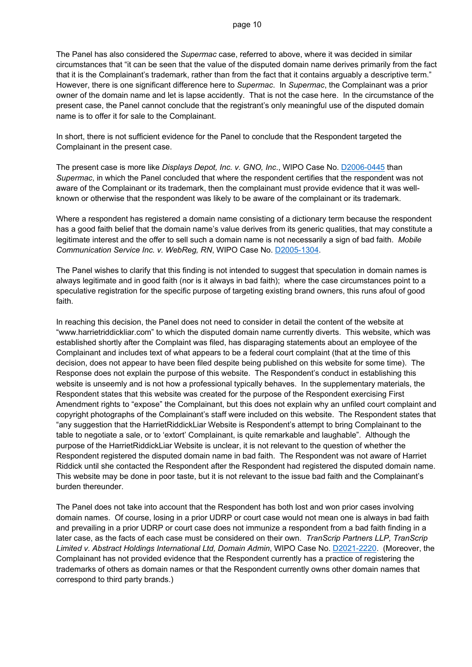The Panel has also considered the *Supermac* case, referred to above, where it was decided in similar circumstances that "it can be seen that the value of the disputed domain name derives primarily from the fact that it is the Complainant's trademark, rather than from the fact that it contains arguably a descriptive term." However, there is one significant difference here to *Supermac*. In *Supermac*, the Complainant was a prior owner of the domain name and let is lapse accidently. That is not the case here. In the circumstance of the present case, the Panel cannot conclude that the registrant's only meaningful use of the disputed domain name is to offer it for sale to the Complainant.

In short, there is not sufficient evidence for the Panel to conclude that the Respondent targeted the Complainant in the present case.

The present case is more like *Displays Depot, Inc. v. GNO, Inc*., WIPO Case No. [D2006-0445](https://www.wipo.int/amc/en/domains/decisions/html/2006/d2006-0445.html) than *Supermac*, in which the Panel concluded that where the respondent certifies that the respondent was not aware of the Complainant or its trademark, then the complainant must provide evidence that it was wellknown or otherwise that the respondent was likely to be aware of the complainant or its trademark.

Where a respondent has registered a domain name consisting of a dictionary term because the respondent has a good faith belief that the domain name's value derives from its generic qualities, that may constitute a legitimate interest and the offer to sell such a domain name is not necessarily a sign of bad faith. *Mobile Communication Service Inc. v. WebReg, RN*, WIPO Case No. [D2005-1304.](https://www.wipo.int/amc/en/domains/decisions/html/2005/d2005-1304.html)

The Panel wishes to clarify that this finding is not intended to suggest that speculation in domain names is always legitimate and in good faith (nor is it always in bad faith); where the case circumstances point to a speculative registration for the specific purpose of targeting existing brand owners, this runs afoul of good faith.

In reaching this decision, the Panel does not need to consider in detail the content of the website at "www.harrietriddickliar.com" to which the disputed domain name currently diverts. This website, which was established shortly after the Complaint was filed, has disparaging statements about an employee of the Complainant and includes text of what appears to be a federal court complaint (that at the time of this decision, does not appear to have been filed despite being published on this website for some time). The Response does not explain the purpose of this website. The Respondent's conduct in establishing this website is unseemly and is not how a professional typically behaves. In the supplementary materials, the Respondent states that this website was created for the purpose of the Respondent exercising First Amendment rights to "expose" the Complainant, but this does not explain why an unfiled court complaint and copyright photographs of the Complainant's staff were included on this website. The Respondent states that "any suggestion that the HarrietRiddickLiar Website is Respondent's attempt to bring Complainant to the table to negotiate a sale, or to 'extort' Complainant, is quite remarkable and laughable". Although the purpose of the HarrietRiddickLiar Website is unclear, it is not relevant to the question of whether the Respondent registered the disputed domain name in bad faith. The Respondent was not aware of Harriet Riddick until she contacted the Respondent after the Respondent had registered the disputed domain name. This website may be done in poor taste, but it is not relevant to the issue bad faith and the Complainant's burden thereunder.

The Panel does not take into account that the Respondent has both lost and won prior cases involving domain names. Of course, losing in a prior UDRP or court case would not mean one is always in bad faith and prevailing in a prior UDRP or court case does not immunize a respondent from a bad faith finding in a later case, as the facts of each case must be considered on their own. *TranScrip Partners LLP, TranScrip Limited v. Abstract Holdings International Ltd, Domain Admin*, WIPO Case No. [D2021-2220.](https://www.wipo.int/amc/en/domains/search/text.jsp?case=D2021-2220) (Moreover, the Complainant has not provided evidence that the Respondent currently has a practice of registering the trademarks of others as domain names or that the Respondent currently owns other domain names that correspond to third party brands.)